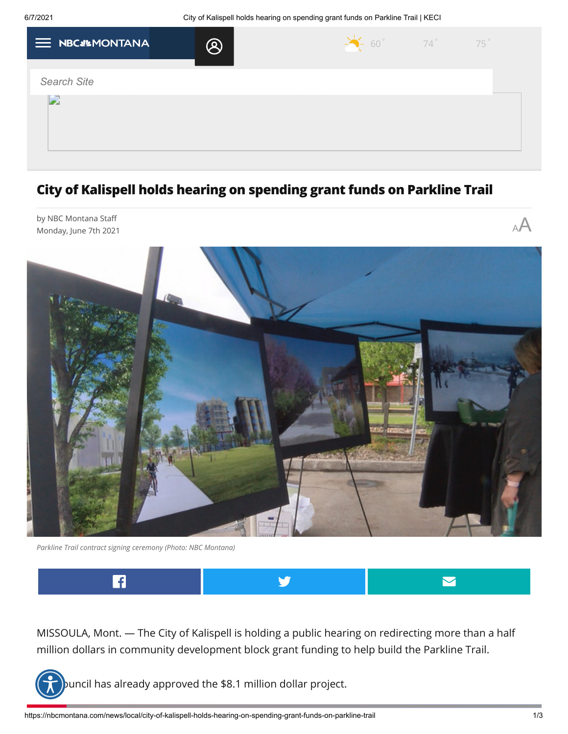| $\equiv$ NBCS MONTANA | $\small \textcircled{\small \textsf{R}}$ | $\frac{1}{2}$ 60° 74° 75° |  |
|-----------------------|------------------------------------------|---------------------------|--|
|                       |                                          |                           |  |
| <b>Search Site</b>    |                                          |                           |  |
|                       |                                          |                           |  |
|                       |                                          |                           |  |
|                       |                                          |                           |  |
|                       |                                          |                           |  |
|                       |                                          |                           |  |

## **City of Kalispell holds hearing on spending grant funds on Parkline Trail**



*Parkline Trail contract signing ceremony (Photo: NBC Montana)*



MISSOULA, Mont. — The City of Kalispell is holding a public hearing on redirecting more than a half million dollars in community development block grant funding to help build the Parkline Trail.



ouncil has already approved the \$8.1 million dollar project.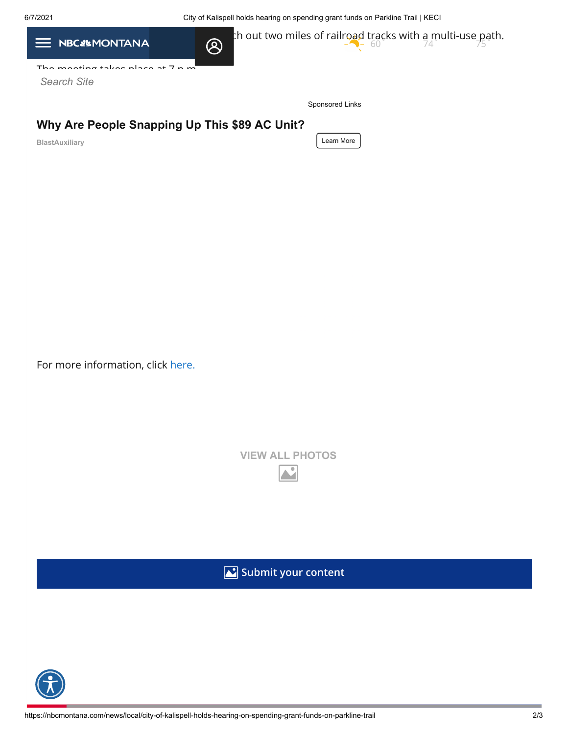6/7/2021 City of Kalispell holds hearing on spending grant funds on Parkline Trail | KECI

| <b>NBCS&amp;MONTANA</b><br>$\equiv$           | th out two miles of railroad tracks with a multi-use path.<br>$\bigotimes$<br>74 |  |
|-----------------------------------------------|----------------------------------------------------------------------------------|--|
| The meeting takes place at $7 \times m$       |                                                                                  |  |
| <b>Search Site</b>                            |                                                                                  |  |
|                                               | Sponsored Links                                                                  |  |
| Why Are People Snapping Up This \$89 AC Unit? |                                                                                  |  |
| BlastAuxiliary                                | Learn More                                                                       |  |
|                                               |                                                                                  |  |
|                                               |                                                                                  |  |
|                                               |                                                                                  |  |
|                                               |                                                                                  |  |
|                                               |                                                                                  |  |
|                                               |                                                                                  |  |
|                                               |                                                                                  |  |
|                                               |                                                                                  |  |

For more information, click [here.](https://www.kalispell.com/Calendar.aspx?EID=1004)

|  | <b>VIEW ALL PHOTOS</b> |  |
|--|------------------------|--|
|  |                        |  |

**Submit your content**